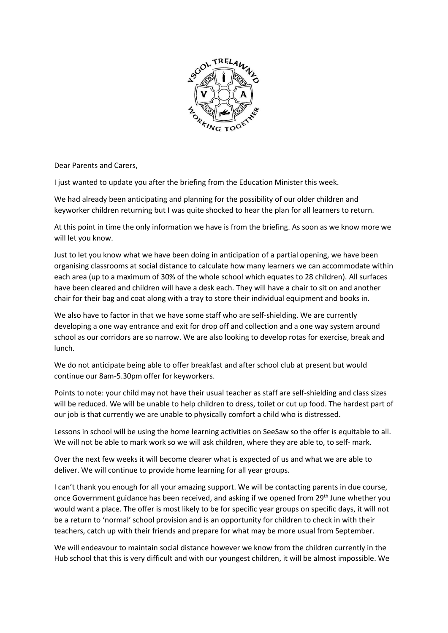

Dear Parents and Carers,

I just wanted to update you after the briefing from the Education Minister this week.

We had already been anticipating and planning for the possibility of our older children and keyworker children returning but I was quite shocked to hear the plan for all learners to return.

At this point in time the only information we have is from the briefing. As soon as we know more we will let you know.

Just to let you know what we have been doing in anticipation of a partial opening, we have been organising classrooms at social distance to calculate how many learners we can accommodate within each area (up to a maximum of 30% of the whole school which equates to 28 children). All surfaces have been cleared and children will have a desk each. They will have a chair to sit on and another chair for their bag and coat along with a tray to store their individual equipment and books in.

We also have to factor in that we have some staff who are self-shielding. We are currently developing a one way entrance and exit for drop off and collection and a one way system around school as our corridors are so narrow. We are also looking to develop rotas for exercise, break and lunch.

We do not anticipate being able to offer breakfast and after school club at present but would continue our 8am-5.30pm offer for keyworkers.

Points to note: your child may not have their usual teacher as staff are self-shielding and class sizes will be reduced. We will be unable to help children to dress, toilet or cut up food. The hardest part of our job is that currently we are unable to physically comfort a child who is distressed.

Lessons in school will be using the home learning activities on SeeSaw so the offer is equitable to all. We will not be able to mark work so we will ask children, where they are able to, to self- mark.

Over the next few weeks it will become clearer what is expected of us and what we are able to deliver. We will continue to provide home learning for all year groups.

I can't thank you enough for all your amazing support. We will be contacting parents in due course, once Government guidance has been received, and asking if we opened from  $29<sup>th</sup>$  June whether you would want a place. The offer is most likely to be for specific year groups on specific days, it will not be a return to 'normal' school provision and is an opportunity for children to check in with their teachers, catch up with their friends and prepare for what may be more usual from September.

We will endeavour to maintain social distance however we know from the children currently in the Hub school that this is very difficult and with our youngest children, it will be almost impossible. We